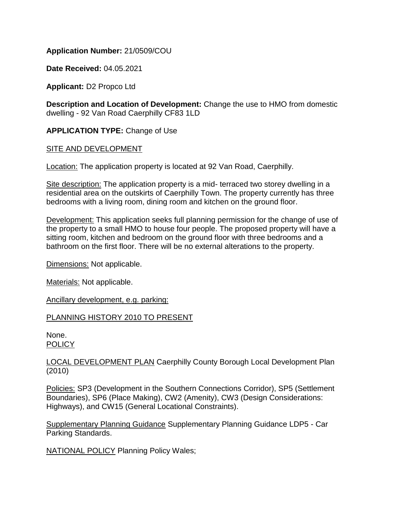## **Application Number:** 21/0509/COU

**Date Received:** 04.05.2021

**Applicant:** D2 Propco Ltd

**Description and Location of Development:** Change the use to HMO from domestic dwelling - 92 Van Road Caerphilly CF83 1LD

**APPLICATION TYPE:** Change of Use

#### SITE AND DEVELOPMENT

Location: The application property is located at 92 Van Road, Caerphilly.

Site description: The application property is a mid- terraced two storey dwelling in a residential area on the outskirts of Caerphilly Town. The property currently has three bedrooms with a living room, dining room and kitchen on the ground floor.

Development: This application seeks full planning permission for the change of use of the property to a small HMO to house four people. The proposed property will have a sitting room, kitchen and bedroom on the ground floor with three bedrooms and a bathroom on the first floor. There will be no external alterations to the property.

Dimensions: Not applicable.

Materials: Not applicable.

Ancillary development, e.g. parking:

# PLANNING HISTORY 2010 TO PRESENT

None. **POLICY** 

LOCAL DEVELOPMENT PLAN Caerphilly County Borough Local Development Plan (2010)

Policies: SP3 (Development in the Southern Connections Corridor), SP5 (Settlement Boundaries), SP6 (Place Making), CW2 (Amenity), CW3 (Design Considerations: Highways), and CW15 (General Locational Constraints).

Supplementary Planning Guidance Supplementary Planning Guidance LDP5 - Car Parking Standards.

NATIONAL POLICY Planning Policy Wales;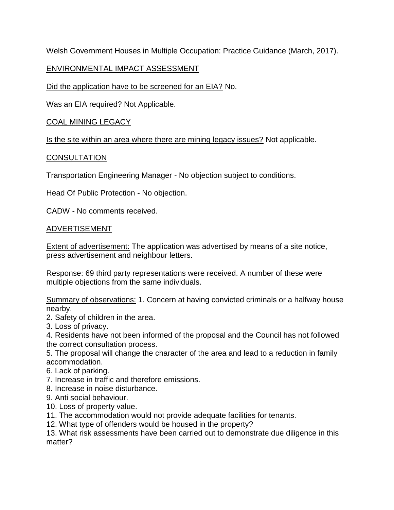Welsh Government Houses in Multiple Occupation: Practice Guidance (March, 2017).

# ENVIRONMENTAL IMPACT ASSESSMENT

Did the application have to be screened for an EIA? No.

Was an EIA required? Not Applicable.

COAL MINING LEGACY

Is the site within an area where there are mining legacy issues? Not applicable.

# **CONSULTATION**

Transportation Engineering Manager - No objection subject to conditions.

Head Of Public Protection - No objection.

CADW - No comments received.

## ADVERTISEMENT

Extent of advertisement: The application was advertised by means of a site notice, press advertisement and neighbour letters.

Response: 69 third party representations were received. A number of these were multiple objections from the same individuals.

Summary of observations: 1. Concern at having convicted criminals or a halfway house nearby.

2. Safety of children in the area.

3. Loss of privacy.

4. Residents have not been informed of the proposal and the Council has not followed the correct consultation process.

5. The proposal will change the character of the area and lead to a reduction in family accommodation.

6. Lack of parking.

7. Increase in traffic and therefore emissions.

8. Increase in noise disturbance.

- 9. Anti social behaviour.
- 10. Loss of property value.

11. The accommodation would not provide adequate facilities for tenants.

12. What type of offenders would be housed in the property?

13. What risk assessments have been carried out to demonstrate due diligence in this matter?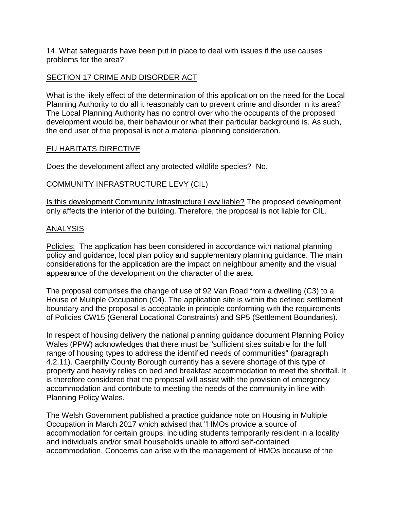14. What safeguards have been put in place to deal with issues if the use causes problems for the area?

## SECTION 17 CRIME AND DISORDER ACT

What is the likely effect of the determination of this application on the need for the Local Planning Authority to do all it reasonably can to prevent crime and disorder in its area? The Local Planning Authority has no control over who the occupants of the proposed development would be, their behaviour or what their particular background is. As such, the end user of the proposal is not a material planning consideration.

#### EU HABITATS DIRECTIVE

Does the development affect any protected wildlife species? No.

## COMMUNITY INFRASTRUCTURE LEVY (CIL)

Is this development Community Infrastructure Levy liable? The proposed development only affects the interior of the building. Therefore, the proposal is not liable for CIL.

## ANALYSIS

Policies: The application has been considered in accordance with national planning policy and guidance, local plan policy and supplementary planning guidance. The main considerations for the application are the impact on neighbour amenity and the visual appearance of the development on the character of the area.

The proposal comprises the change of use of 92 Van Road from a dwelling (C3) to a House of Multiple Occupation (C4). The application site is within the defined settlement boundary and the proposal is acceptable in principle conforming with the requirements of Policies CW15 (General Locational Constraints) and SP5 (Settlement Boundaries).

In respect of housing delivery the national planning guidance document Planning Policy Wales (PPW) acknowledges that there must be "sufficient sites suitable for the full range of housing types to address the identified needs of communities" (paragraph 4.2.11). Caerphilly County Borough currently has a severe shortage of this type of property and heavily relies on bed and breakfast accommodation to meet the shortfall. It is therefore considered that the proposal will assist with the provision of emergency accommodation and contribute to meeting the needs of the community in line with Planning Policy Wales.

The Welsh Government published a practice guidance note on Housing in Multiple Occupation in March 2017 which advised that "HMOs provide a source of accommodation for certain groups, including students temporarily resident in a locality and individuals and/or small households unable to afford self-contained accommodation. Concerns can arise with the management of HMOs because of the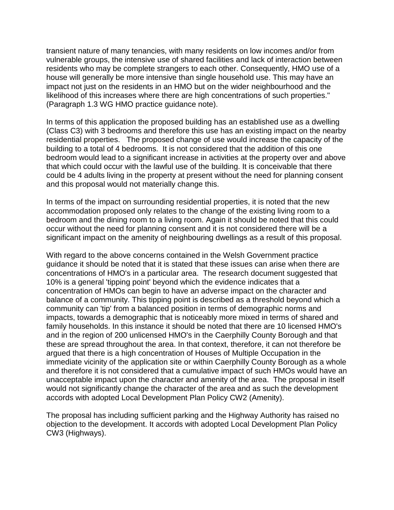transient nature of many tenancies, with many residents on low incomes and/or from vulnerable groups, the intensive use of shared facilities and lack of interaction between residents who may be complete strangers to each other. Consequently, HMO use of a house will generally be more intensive than single household use. This may have an impact not just on the residents in an HMO but on the wider neighbourhood and the likelihood of this increases where there are high concentrations of such properties." (Paragraph 1.3 WG HMO practice guidance note).

In terms of this application the proposed building has an established use as a dwelling (Class C3) with 3 bedrooms and therefore this use has an existing impact on the nearby residential properties. The proposed change of use would increase the capacity of the building to a total of 4 bedrooms. It is not considered that the addition of this one bedroom would lead to a significant increase in activities at the property over and above that which could occur with the lawful use of the building. It is conceivable that there could be 4 adults living in the property at present without the need for planning consent and this proposal would not materially change this.

In terms of the impact on surrounding residential properties, it is noted that the new accommodation proposed only relates to the change of the existing living room to a bedroom and the dining room to a living room. Again it should be noted that this could occur without the need for planning consent and it is not considered there will be a significant impact on the amenity of neighbouring dwellings as a result of this proposal.

With regard to the above concerns contained in the Welsh Government practice guidance it should be noted that it is stated that these issues can arise when there are concentrations of HMO's in a particular area. The research document suggested that 10% is a general 'tipping point' beyond which the evidence indicates that a concentration of HMOs can begin to have an adverse impact on the character and balance of a community. This tipping point is described as a threshold beyond which a community can 'tip' from a balanced position in terms of demographic norms and impacts, towards a demographic that is noticeably more mixed in terms of shared and family households. In this instance it should be noted that there are 10 licensed HMO's and in the region of 200 unlicensed HMO's in the Caerphilly County Borough and that these are spread throughout the area. In that context, therefore, it can not therefore be argued that there is a high concentration of Houses of Multiple Occupation in the immediate vicinity of the application site or within Caerphilly County Borough as a whole and therefore it is not considered that a cumulative impact of such HMOs would have an unacceptable impact upon the character and amenity of the area. The proposal in itself would not significantly change the character of the area and as such the development accords with adopted Local Development Plan Policy CW2 (Amenity).

The proposal has including sufficient parking and the Highway Authority has raised no objection to the development. It accords with adopted Local Development Plan Policy CW3 (Highways).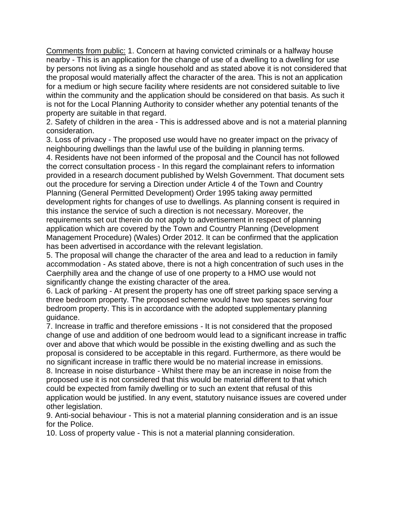Comments from public: 1. Concern at having convicted criminals or a halfway house nearby - This is an application for the change of use of a dwelling to a dwelling for use by persons not living as a single household and as stated above it is not considered that the proposal would materially affect the character of the area. This is not an application for a medium or high secure facility where residents are not considered suitable to live within the community and the application should be considered on that basis. As such it is not for the Local Planning Authority to consider whether any potential tenants of the property are suitable in that regard.

2. Safety of children in the area - This is addressed above and is not a material planning consideration.

3. Loss of privacy - The proposed use would have no greater impact on the privacy of neighbouring dwellings than the lawful use of the building in planning terms.

4. Residents have not been informed of the proposal and the Council has not followed the correct consultation process - In this regard the complainant refers to information provided in a research document published by Welsh Government. That document sets out the procedure for serving a Direction under Article 4 of the Town and Country Planning (General Permitted Development) Order 1995 taking away permitted development rights for changes of use to dwellings. As planning consent is required in this instance the service of such a direction is not necessary. Moreover, the requirements set out therein do not apply to advertisement in respect of planning application which are covered by the Town and Country Planning (Development Management Procedure) (Wales) Order 2012. It can be confirmed that the application has been advertised in accordance with the relevant legislation.

5. The proposal will change the character of the area and lead to a reduction in family accommodation - As stated above, there is not a high concentration of such uses in the Caerphilly area and the change of use of one property to a HMO use would not significantly change the existing character of the area.

6. Lack of parking - At present the property has one off street parking space serving a three bedroom property. The proposed scheme would have two spaces serving four bedroom property. This is in accordance with the adopted supplementary planning guidance.

7. Increase in traffic and therefore emissions - It is not considered that the proposed change of use and addition of one bedroom would lead to a significant increase in traffic over and above that which would be possible in the existing dwelling and as such the proposal is considered to be acceptable in this regard. Furthermore, as there would be no significant increase in traffic there would be no material increase in emissions. 8. Increase in noise disturbance - Whilst there may be an increase in noise from the proposed use it is not considered that this would be material different to that which could be expected from family dwelling or to such an extent that refusal of this application would be justified. In any event, statutory nuisance issues are covered under other legislation.

9. Anti-social behaviour - This is not a material planning consideration and is an issue for the Police.

10. Loss of property value - This is not a material planning consideration.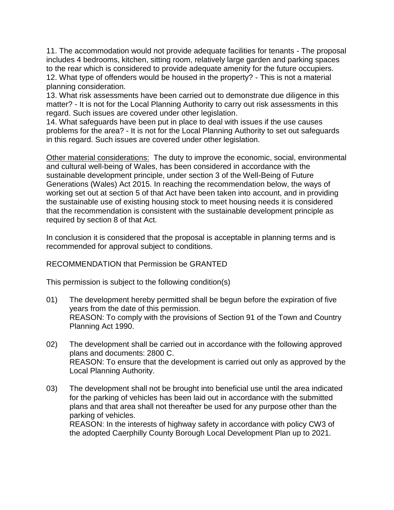11. The accommodation would not provide adequate facilities for tenants - The proposal includes 4 bedrooms, kitchen, sitting room, relatively large garden and parking spaces to the rear which is considered to provide adequate amenity for the future occupiers. 12. What type of offenders would be housed in the property? - This is not a material planning consideration.

13. What risk assessments have been carried out to demonstrate due diligence in this matter? - It is not for the Local Planning Authority to carry out risk assessments in this regard. Such issues are covered under other legislation.

14. What safeguards have been put in place to deal with issues if the use causes problems for the area? - It is not for the Local Planning Authority to set out safeguards in this regard. Such issues are covered under other legislation.

Other material considerations: The duty to improve the economic, social, environmental and cultural well-being of Wales, has been considered in accordance with the sustainable development principle, under section 3 of the Well-Being of Future Generations (Wales) Act 2015. In reaching the recommendation below, the ways of working set out at section 5 of that Act have been taken into account, and in providing the sustainable use of existing housing stock to meet housing needs it is considered that the recommendation is consistent with the sustainable development principle as required by section 8 of that Act.

In conclusion it is considered that the proposal is acceptable in planning terms and is recommended for approval subject to conditions.

# RECOMMENDATION that Permission be GRANTED

This permission is subject to the following condition(s)

- 01) The development hereby permitted shall be begun before the expiration of five years from the date of this permission. REASON: To comply with the provisions of Section 91 of the Town and Country Planning Act 1990.
- 02) The development shall be carried out in accordance with the following approved plans and documents: 2800 C. REASON: To ensure that the development is carried out only as approved by the Local Planning Authority.
- 03) The development shall not be brought into beneficial use until the area indicated for the parking of vehicles has been laid out in accordance with the submitted plans and that area shall not thereafter be used for any purpose other than the parking of vehicles.

REASON: In the interests of highway safety in accordance with policy CW3 of the adopted Caerphilly County Borough Local Development Plan up to 2021.